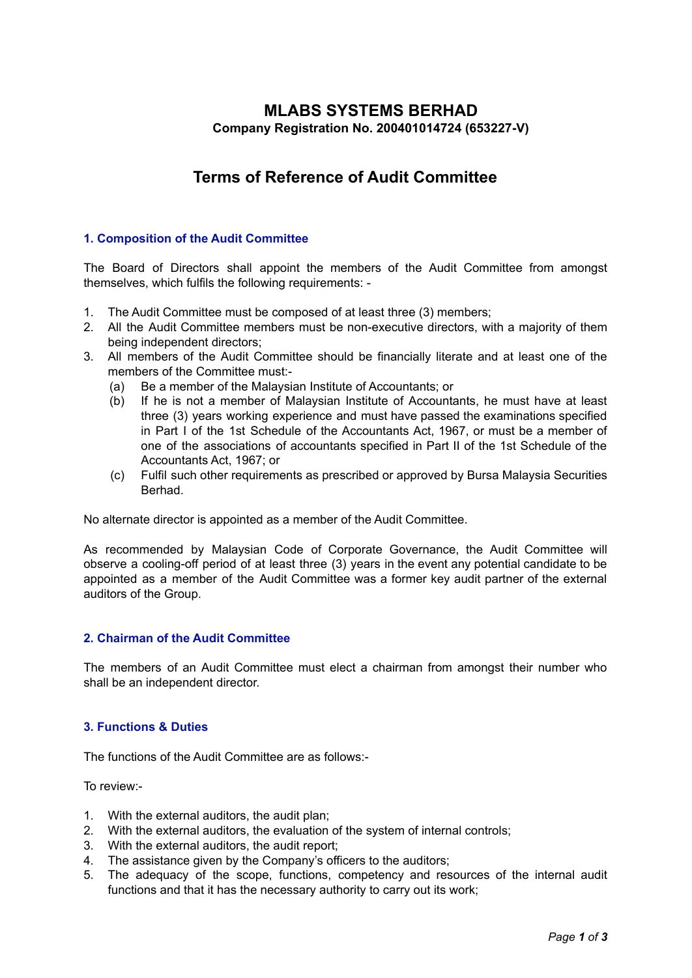## **MLABS SYSTEMS BERHAD Company Registration No. 200401014724 (653227-V)**

# **Terms of Reference of Audit Committee**

### **1. Composition of the Audit Committee**

The Board of Directors shall appoint the members of the Audit Committee from amongst themselves, which fulfils the following requirements: -

- 1. The Audit Committee must be composed of at least three (3) members;
- 2. All the Audit Committee members must be non-executive directors, with a majority of them being independent directors;
- 3. All members of the Audit Committee should be financially literate and at least one of the members of the Committee must:-
	- (a) Be a member of the Malaysian Institute of Accountants; or
	- (b) If he is not a member of Malaysian Institute of Accountants, he must have at least three (3) years working experience and must have passed the examinations specified in Part I of the 1st Schedule of the Accountants Act, 1967, or must be a member of one of the associations of accountants specified in Part II of the 1st Schedule of the Accountants Act, 1967; or
	- (c) Fulfil such other requirements as prescribed or approved by Bursa Malaysia Securities Berhad.

No alternate director is appointed as a member of the Audit Committee.

As recommended by Malaysian Code of Corporate Governance, the Audit Committee will observe a cooling-off period of at least three (3) years in the event any potential candidate to be appointed as a member of the Audit Committee was a former key audit partner of the external auditors of the Group.

#### **2. Chairman of the Audit Committee**

The members of an Audit Committee must elect a chairman from amongst their number who shall be an independent director.

#### **3. Functions & Duties**

The functions of the Audit Committee are as follows:-

To review:-

- 1. With the external auditors, the audit plan;
- 2. With the external auditors, the evaluation of the system of internal controls;
- 3. With the external auditors, the audit report;
- 4. The assistance given by the Company's officers to the auditors;
- 5. The adequacy of the scope, functions, competency and resources of the internal audit functions and that it has the necessary authority to carry out its work;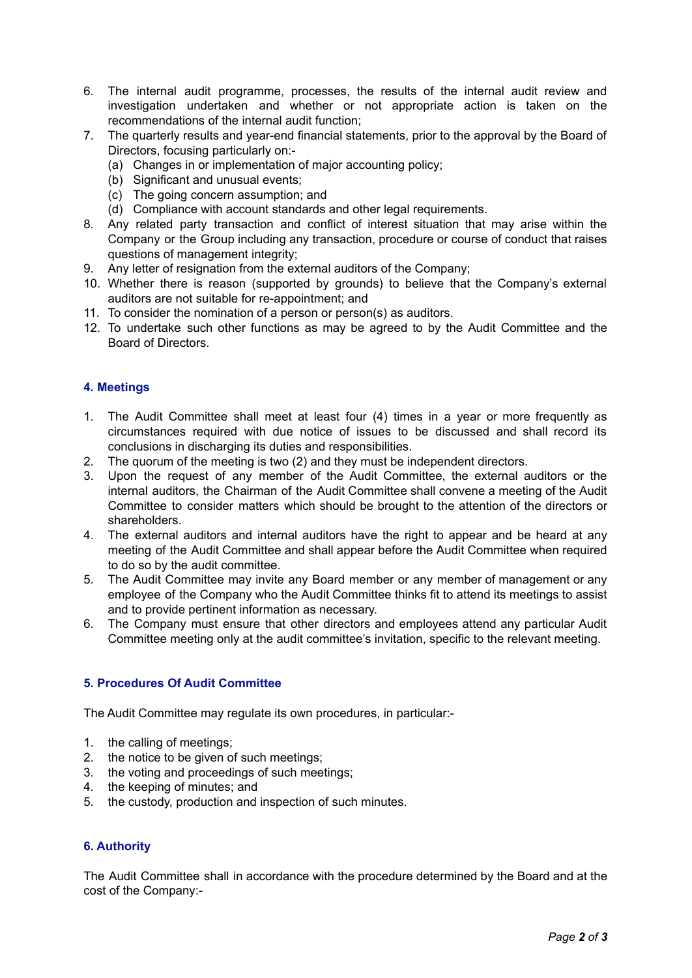- 6. The internal audit programme, processes, the results of the internal audit review and investigation undertaken and whether or not appropriate action is taken on the recommendations of the internal audit function;
- 7. The quarterly results and year-end financial statements, prior to the approval by the Board of Directors, focusing particularly on:-
	- (a) Changes in or implementation of major accounting policy;
	- (b) Significant and unusual events;
	- (c) The going concern assumption; and
	- (d) Compliance with account standards and other legal requirements.
- 8. Any related party transaction and conflict of interest situation that may arise within the Company or the Group including any transaction, procedure or course of conduct that raises questions of management integrity;
- 9. Any letter of resignation from the external auditors of the Company;
- 10. Whether there is reason (supported by grounds) to believe that the Company's external auditors are not suitable for re-appointment; and
- 11. To consider the nomination of a person or person(s) as auditors.
- 12. To undertake such other functions as may be agreed to by the Audit Committee and the Board of Directors.

## **4. Meetings**

- 1. The Audit Committee shall meet at least four (4) times in a year or more frequently as circumstances required with due notice of issues to be discussed and shall record its conclusions in discharging its duties and responsibilities.
- 2. The quorum of the meeting is two (2) and they must be independent directors.
- 3. Upon the request of any member of the Audit Committee, the external auditors or the internal auditors, the Chairman of the Audit Committee shall convene a meeting of the Audit Committee to consider matters which should be brought to the attention of the directors or shareholders.
- 4. The external auditors and internal auditors have the right to appear and be heard at any meeting of the Audit Committee and shall appear before the Audit Committee when required to do so by the audit committee.
- 5. The Audit Committee may invite any Board member or any member of management or any employee of the Company who the Audit Committee thinks fit to attend its meetings to assist and to provide pertinent information as necessary.
- 6. The Company must ensure that other directors and employees attend any particular Audit Committee meeting only at the audit committee's invitation, specific to the relevant meeting.

## **5. Procedures Of Audit Committee**

The Audit Committee may regulate its own procedures, in particular:-

- 1. the calling of meetings;
- 2. the notice to be given of such meetings;
- 3. the voting and proceedings of such meetings;
- 4. the keeping of minutes; and
- 5. the custody, production and inspection of such minutes.

## **6. Authority**

The Audit Committee shall in accordance with the procedure determined by the Board and at the cost of the Company:-